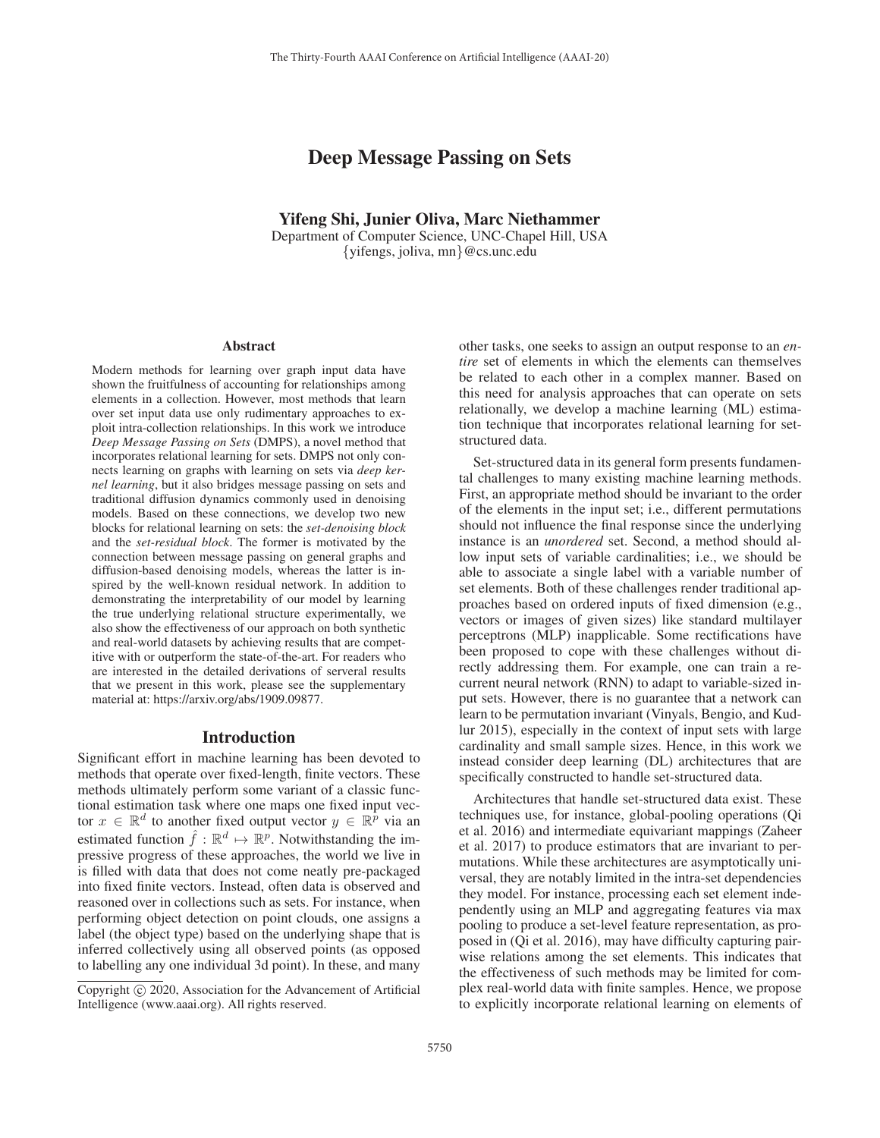# Deep Message Passing on Sets

Yifeng Shi, Junier Oliva, Marc Niethammer Department of Computer Science, UNC-Chapel Hill, USA {yifengs, joliva, mn}@cs.unc.edu

#### Abstract

Modern methods for learning over graph input data have shown the fruitfulness of accounting for relationships among elements in a collection. However, most methods that learn over set input data use only rudimentary approaches to exploit intra-collection relationships. In this work we introduce *Deep Message Passing on Sets* (DMPS), a novel method that incorporates relational learning for sets. DMPS not only connects learning on graphs with learning on sets via *deep kernel learning*, but it also bridges message passing on sets and traditional diffusion dynamics commonly used in denoising models. Based on these connections, we develop two new blocks for relational learning on sets: the *set-denoising block* and the *set-residual block*. The former is motivated by the connection between message passing on general graphs and diffusion-based denoising models, whereas the latter is inspired by the well-known residual network. In addition to demonstrating the interpretability of our model by learning the true underlying relational structure experimentally, we also show the effectiveness of our approach on both synthetic and real-world datasets by achieving results that are competitive with or outperform the state-of-the-art. For readers who are interested in the detailed derivations of serveral results that we present in this work, please see the supplementary material at: https://arxiv.org/abs/1909.09877.

### Introduction

Significant effort in machine learning has been devoted to methods that operate over fixed-length, finite vectors. These methods ultimately perform some variant of a classic functional estimation task where one maps one fixed input vector  $x \in \mathbb{R}^d$  to another fixed output vector  $y \in \mathbb{R}^p$  via an estimated function  $\hat{f} : \mathbb{R}^d \mapsto \mathbb{R}^p$ . Notwithstanding the impressive progress of these approaches, the world we live in is filled with data that does not come neatly pre-packaged into fixed finite vectors. Instead, often data is observed and reasoned over in collections such as sets. For instance, when performing object detection on point clouds, one assigns a label (the object type) based on the underlying shape that is inferred collectively using all observed points (as opposed to labelling any one individual 3d point). In these, and many

other tasks, one seeks to assign an output response to an *entire* set of elements in which the elements can themselves be related to each other in a complex manner. Based on this need for analysis approaches that can operate on sets relationally, we develop a machine learning (ML) estimation technique that incorporates relational learning for setstructured data.

Set-structured data in its general form presents fundamental challenges to many existing machine learning methods. First, an appropriate method should be invariant to the order of the elements in the input set; i.e., different permutations should not influence the final response since the underlying instance is an *unordered* set. Second, a method should allow input sets of variable cardinalities; i.e., we should be able to associate a single label with a variable number of set elements. Both of these challenges render traditional approaches based on ordered inputs of fixed dimension (e.g., vectors or images of given sizes) like standard multilayer perceptrons (MLP) inapplicable. Some rectifications have been proposed to cope with these challenges without directly addressing them. For example, one can train a recurrent neural network (RNN) to adapt to variable-sized input sets. However, there is no guarantee that a network can learn to be permutation invariant (Vinyals, Bengio, and Kudlur 2015), especially in the context of input sets with large cardinality and small sample sizes. Hence, in this work we instead consider deep learning (DL) architectures that are specifically constructed to handle set-structured data.

Architectures that handle set-structured data exist. These techniques use, for instance, global-pooling operations (Qi et al. 2016) and intermediate equivariant mappings (Zaheer et al. 2017) to produce estimators that are invariant to permutations. While these architectures are asymptotically universal, they are notably limited in the intra-set dependencies they model. For instance, processing each set element independently using an MLP and aggregating features via max pooling to produce a set-level feature representation, as proposed in (Qi et al. 2016), may have difficulty capturing pairwise relations among the set elements. This indicates that the effectiveness of such methods may be limited for complex real-world data with finite samples. Hence, we propose to explicitly incorporate relational learning on elements of

Copyright  $\odot$  2020, Association for the Advancement of Artificial Intelligence (www.aaai.org). All rights reserved.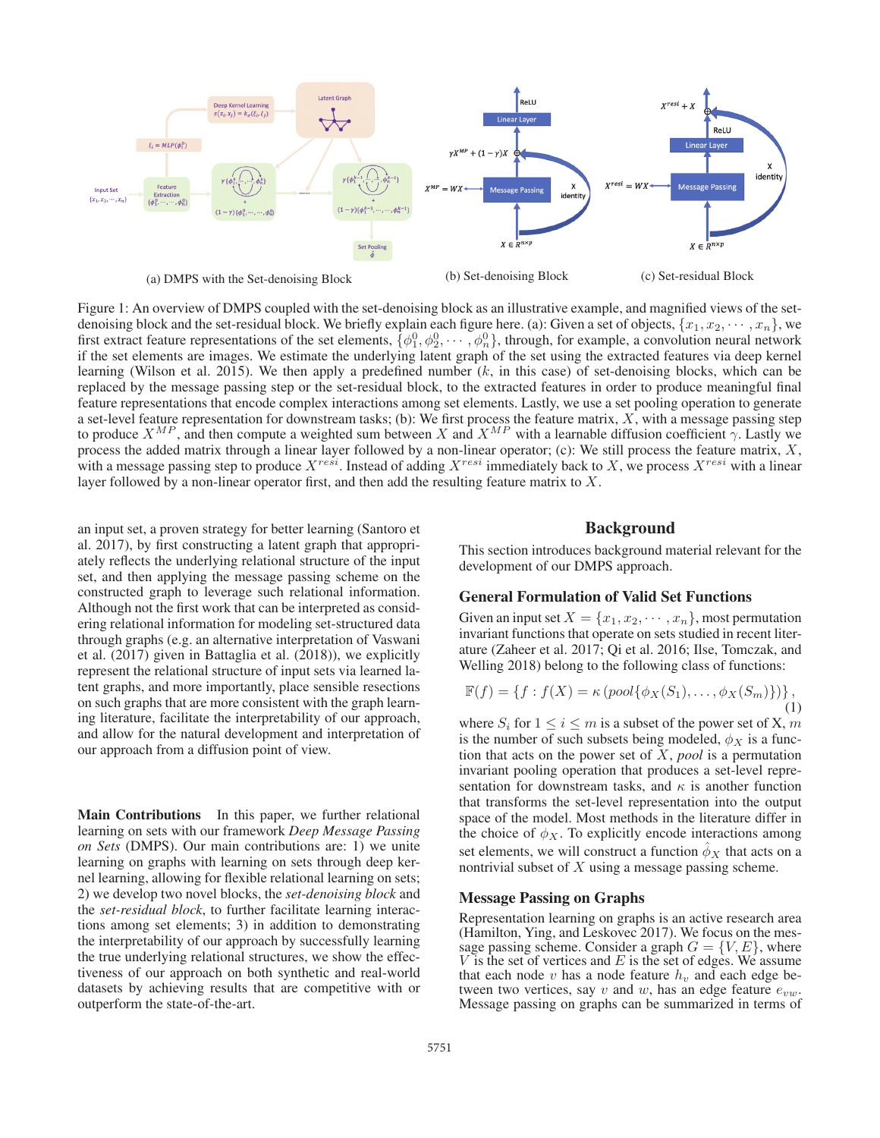

Figure 1: An overview of DMPS coupled with the set-denoising block as an illustrative example, and magnified views of the setdenoising block and the set-residual block. We briefly explain each figure here. (a): Given a set of objects,  $\{x_1, x_2, \dots, x_n\}$ , we first extract feature representations of the set elements,  $\{\phi_1^0, \phi_2^0, \cdots, \phi_n^0\}$ , through, for example, a convolution neural network if the set elements are images. We estimate the underlying latent graph of the set using the extracted features via deep kernel learning (Wilson et al. 2015). We then apply a predefined number  $(k, \text{ in this case})$  of set-denoising blocks, which can be replaced by the message passing step or the set-residual block, to the extracted features in order to produce meaningful final feature representations that encode complex interactions among set elements. Lastly, we use a set pooling operation to generate a set-level feature representation for downstream tasks; (b): We first process the feature matrix,  $X$ , with a message passing step to produce  $X^{MP}$ , and then compute a weighted sum between X and  $X^{MP}$  with a learnable diffusion coefficient  $\gamma$ . Lastly we process the added matrix through a linear layer followed by a non-linear operator; (c): We still process the feature matrix,  $X$ , with a message passing step to produce  $X^{resi}$ . Instead of adding  $X^{resi}$  immediately back to X, we process  $X^{resi}$  with a linear layer followed by a non-linear operator first, and then add the resulting feature matrix to X.

an input set, a proven strategy for better learning (Santoro et al. 2017), by first constructing a latent graph that appropriately reflects the underlying relational structure of the input set, and then applying the message passing scheme on the constructed graph to leverage such relational information. Although not the first work that can be interpreted as considering relational information for modeling set-structured data through graphs (e.g. an alternative interpretation of Vaswani et al. (2017) given in Battaglia et al. (2018)), we explicitly represent the relational structure of input sets via learned latent graphs, and more importantly, place sensible resections on such graphs that are more consistent with the graph learning literature, facilitate the interpretability of our approach, and allow for the natural development and interpretation of our approach from a diffusion point of view.

Main Contributions In this paper, we further relational learning on sets with our framework *Deep Message Passing on Sets* (DMPS). Our main contributions are: 1) we unite learning on graphs with learning on sets through deep kernel learning, allowing for flexible relational learning on sets; 2) we develop two novel blocks, the *set-denoising block* and the *set-residual block*, to further facilitate learning interactions among set elements; 3) in addition to demonstrating the interpretability of our approach by successfully learning the true underlying relational structures, we show the effectiveness of our approach on both synthetic and real-world datasets by achieving results that are competitive with or outperform the state-of-the-art.

## Background

This section introduces background material relevant for the development of our DMPS approach.

## General Formulation of Valid Set Functions

Given an input set  $X = \{x_1, x_2, \dots, x_n\}$ , most permutation invariant functions that operate on sets studied in recent literature (Zaheer et al. 2017; Qi et al. 2016; Ilse, Tomczak, and Welling 2018) belong to the following class of functions:

$$
\mathbb{F}(f) = \{f : f(X) = \kappa \left( \text{pool}\{\phi_X(S_1), \dots, \phi_X(S_m)\}\right) \},\tag{1}
$$

where  $S_i$  for  $1 \le i \le m$  is a subset of the power set of X, m is the number of such subsets being modeled,  $\phi_X$  is a function that acts on the power set of X, *pool* is a permutation invariant pooling operation that produces a set-level representation for downstream tasks, and  $\kappa$  is another function that transforms the set-level representation into the output space of the model. Most methods in the literature differ in the choice of  $\phi_X$ . To explicitly encode interactions among set elements, we will construct a function  $\phi_X$  that acts on a nontrivial subset of X using a message passing scheme.

## Message Passing on Graphs

Representation learning on graphs is an active research area (Hamilton, Ying, and Leskovec 2017). We focus on the message passing scheme. Consider a graph  $G = \{V, E\}$ , where  $V$  is the set of vertices and  $E$  is the set of edges. We assume that each node v has a node feature  $h<sub>v</sub>$  and each edge between two vertices, say v and w, has an edge feature  $e_{vw}$ . Message passing on graphs can be summarized in terms of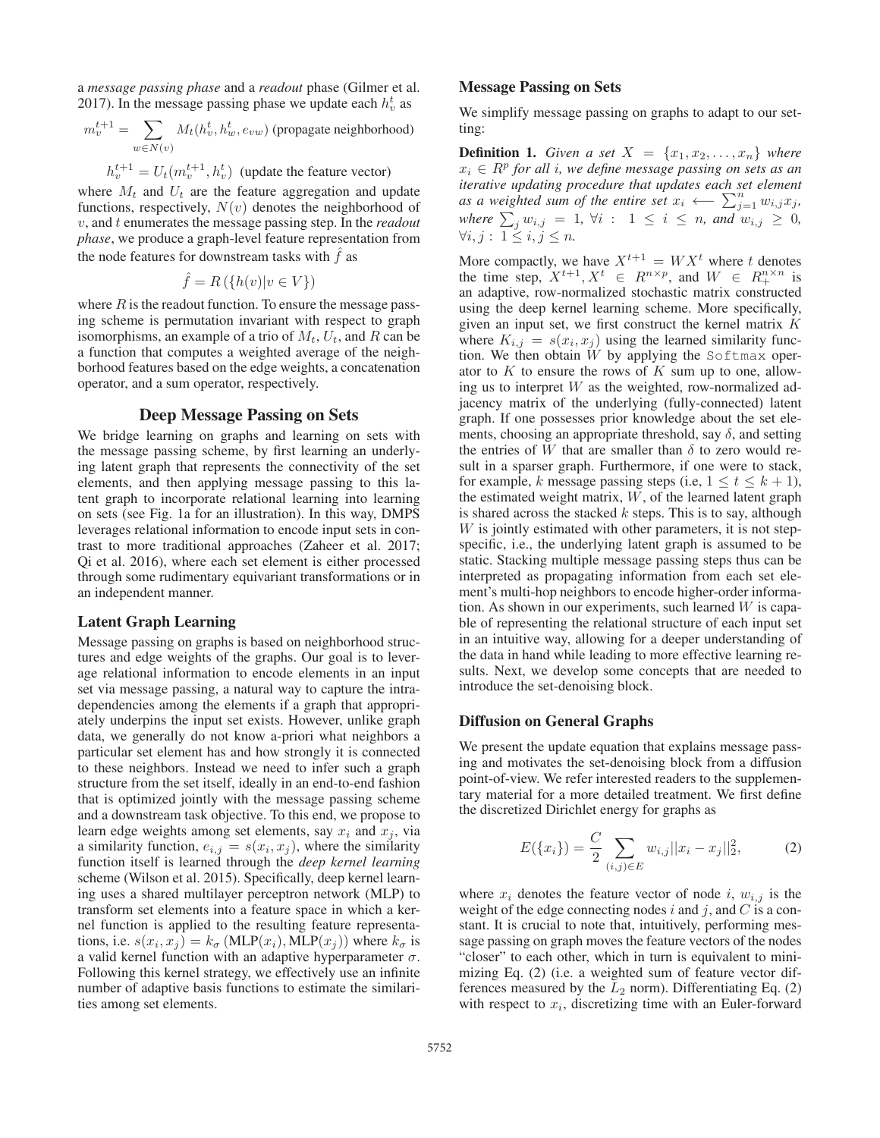a *message passing phase* and a *readout* phase (Gilmer et al. 2017). In the message passing phase we update each  $h_v^t$  as

$$
m^{t+1}_v = \sum_{w \in N(v)} M_t(h^t_v, h^t_w, e_{vw})
$$
 (propagate neighborhood)

$$
h_v^{t+1} = U_t(m_v^{t+1}, h_v^t)
$$
 (update the feature vector)

where  $M_t$  and  $U_t$  are the feature aggregation and update functions, respectively,  $N(v)$  denotes the neighborhood of v, and t enumerates the message passing step. In the *readout phase*, we produce a graph-level feature representation from the node features for downstream tasks with  $\hat{f}$  as

$$
\hat{f} = R\left(\{h(v)|v \in V\}\right)
$$

where  $R$  is the readout function. To ensure the message passing scheme is permutation invariant with respect to graph isomorphisms, an example of a trio of  $M_t$ ,  $U_t$ , and R can be a function that computes a weighted average of the neighborhood features based on the edge weights, a concatenation operator, and a sum operator, respectively.

## Deep Message Passing on Sets

We bridge learning on graphs and learning on sets with the message passing scheme, by first learning an underlying latent graph that represents the connectivity of the set elements, and then applying message passing to this latent graph to incorporate relational learning into learning on sets (see Fig. 1a for an illustration). In this way, DMPS leverages relational information to encode input sets in contrast to more traditional approaches (Zaheer et al. 2017; Qi et al. 2016), where each set element is either processed through some rudimentary equivariant transformations or in an independent manner.

### Latent Graph Learning

Message passing on graphs is based on neighborhood structures and edge weights of the graphs. Our goal is to leverage relational information to encode elements in an input set via message passing, a natural way to capture the intradependencies among the elements if a graph that appropriately underpins the input set exists. However, unlike graph data, we generally do not know a-priori what neighbors a particular set element has and how strongly it is connected to these neighbors. Instead we need to infer such a graph structure from the set itself, ideally in an end-to-end fashion that is optimized jointly with the message passing scheme and a downstream task objective. To this end, we propose to learn edge weights among set elements, say  $x_i$  and  $x_j$ , via a similarity function,  $e_{i,j} = s(x_i, x_j)$ , where the similarity function itself is learned through the *deep kernel learning* scheme (Wilson et al. 2015). Specifically, deep kernel learning uses a shared multilayer perceptron network (MLP) to transform set elements into a feature space in which a kernel function is applied to the resulting feature representations, i.e.  $s(x_i, x_j) = k_{\sigma} (\text{MLP}(x_i), \text{MLP}(x_j))$  where  $k_{\sigma}$  is a valid kernel function with an adaptive hyperparameter  $\sigma$ . Following this kernel strategy, we effectively use an infinite number of adaptive basis functions to estimate the similarities among set elements.

## Message Passing on Sets

We simplify message passing on graphs to adapt to our setting:

**Definition 1.** Given a set  $X = \{x_1, x_2, \ldots, x_n\}$  where  $x_i \in R^p$  for all *i*, we define message passing on sets as an *iterative updating procedure that updates each set element as a weighted sum of the entire set*  $x_i \leftarrow \sum_{j=1}^n w_{i,j}x_j$ ,  $where \sum_{i} w_{i,j} = 1, \forall i : 1 \leq i \leq n, and w_{i,j} \geq 0,$  $\forall i, j : 1 \leq i, j \leq n$ .

More compactly, we have  $X^{t+1} = W X^t$  where t denotes the time step,  $X^{t+1}, X^t \in R^{n \times p}$ , and  $W \in R_+^{n \times n}$  is an adaptive, row-normalized stochastic matrix constructed using the deep kernel learning scheme. More specifically, given an input set, we first construct the kernel matrix  $K$ where  $K_{i,j} = s(x_i, x_j)$  using the learned similarity function. We then obtain  $W$  by applying the Softmax operator to  $K$  to ensure the rows of  $K$  sum up to one, allowing us to interpret W as the weighted, row-normalized adjacency matrix of the underlying (fully-connected) latent graph. If one possesses prior knowledge about the set elements, choosing an appropriate threshold, say  $\delta$ , and setting the entries of W that are smaller than  $\delta$  to zero would result in a sparser graph. Furthermore, if one were to stack, for example, k message passing steps (i.e,  $1 \le t \le k + 1$ ), the estimated weight matrix,  $W$ , of the learned latent graph is shared across the stacked  $k$  steps. This is to say, although  $W$  is jointly estimated with other parameters, it is not stepspecific, i.e., the underlying latent graph is assumed to be static. Stacking multiple message passing steps thus can be interpreted as propagating information from each set element's multi-hop neighbors to encode higher-order information. As shown in our experiments, such learned  $W$  is capable of representing the relational structure of each input set in an intuitive way, allowing for a deeper understanding of the data in hand while leading to more effective learning results. Next, we develop some concepts that are needed to introduce the set-denoising block.

### Diffusion on General Graphs

We present the update equation that explains message passing and motivates the set-denoising block from a diffusion point-of-view. We refer interested readers to the supplementary material for a more detailed treatment. We first define the discretized Dirichlet energy for graphs as

$$
E({xi}) = \frac{C}{2} \sum_{(i,j) \in E} w_{i,j} ||x_i - x_j||_2^2,
$$
 (2)

where  $x_i$  denotes the feature vector of node i,  $w_{i,j}$  is the weight of the edge connecting nodes i and j, and C is a constant. It is crucial to note that, intuitively, performing message passing on graph moves the feature vectors of the nodes "closer" to each other, which in turn is equivalent to minimizing Eq. (2) (i.e. a weighted sum of feature vector differences measured by the  $L_2$  norm). Differentiating Eq. (2) with respect to  $x_i$ , discretizing time with an Euler-forward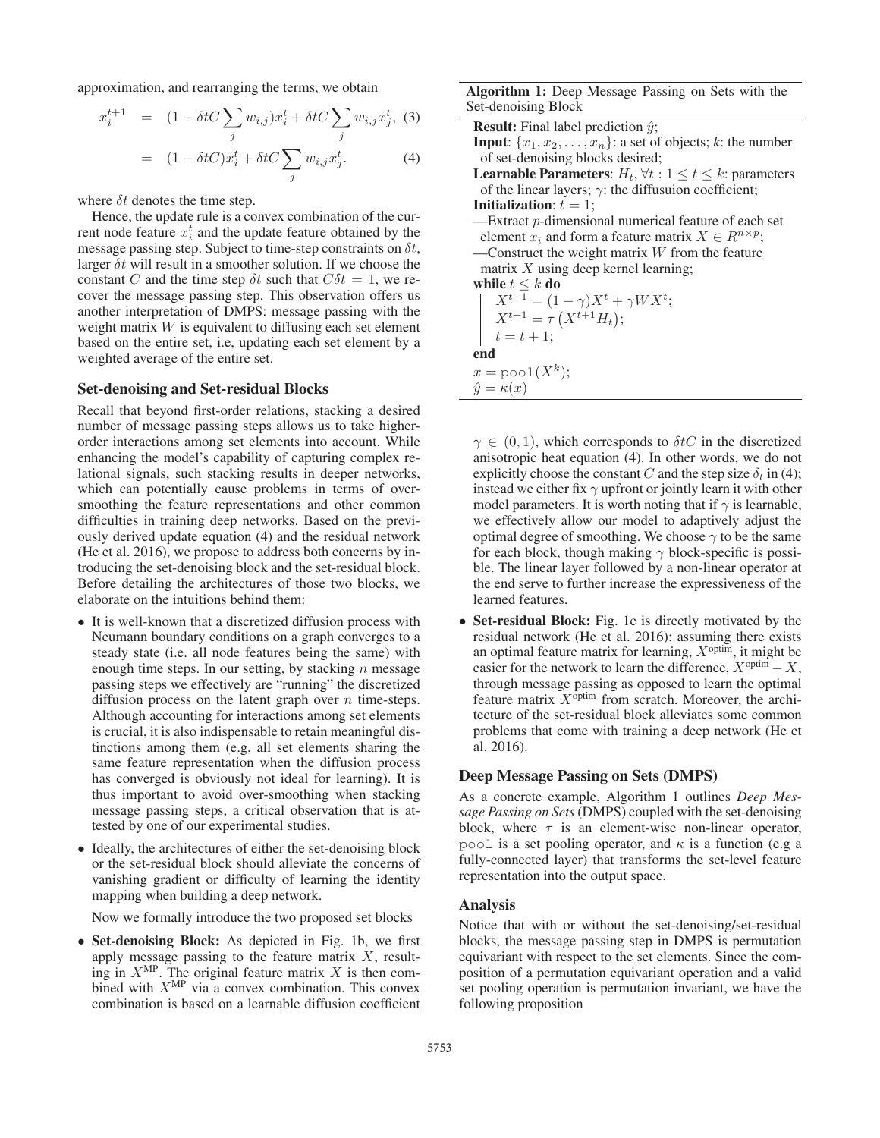approximation, and rearranging the terms, we obtain

$$
x_i^{t+1} = (1 - \delta tC \sum_j w_{i,j}) x_i^t + \delta tC \sum_j w_{i,j} x_j^t, (3)
$$

$$
= (1 - \delta tC) x_i^t + \delta tC \sum_j w_{i,j} x_j^t \tag{4}
$$

$$
= (1 - \delta tC)x_i^t + \delta tC \sum_j w_{i,j} x_j^t.
$$
 (4)

where  $\delta t$  denotes the time step.

Hence, the update rule is a convex combination of the current node feature  $x_i^t$  and the update feature obtained by the message passing step. Subject to time-step constraints on  $\delta t$ , larger  $\delta t$  will result in a smoother solution. If we choose the constant C and the time step  $\delta t$  such that  $C \delta t = 1$ , we recover the message passing step. This observation offers us another interpretation of DMPS: message passing with the weight matrix  $W$  is equivalent to diffusing each set element based on the entire set, i.e, updating each set element by a weighted average of the entire set.

### Set-denoising and Set-residual Blocks

Recall that beyond first-order relations, stacking a desired number of message passing steps allows us to take higherorder interactions among set elements into account. While enhancing the model's capability of capturing complex relational signals, such stacking results in deeper networks, which can potentially cause problems in terms of oversmoothing the feature representations and other common difficulties in training deep networks. Based on the previously derived update equation (4) and the residual network (He et al. 2016), we propose to address both concerns by introducing the set-denoising block and the set-residual block. Before detailing the architectures of those two blocks, we elaborate on the intuitions behind them:

- It is well-known that a discretized diffusion process with Neumann boundary conditions on a graph converges to a steady state (i.e. all node features being the same) with enough time steps. In our setting, by stacking  $n$  message passing steps we effectively are "running" the discretized diffusion process on the latent graph over  $n$  time-steps. Although accounting for interactions among set elements is crucial, it is also indispensable to retain meaningful distinctions among them (e.g, all set elements sharing the same feature representation when the diffusion process has converged is obviously not ideal for learning). It is thus important to avoid over-smoothing when stacking message passing steps, a critical observation that is attested by one of our experimental studies.
- Ideally, the architectures of either the set-denoising block or the set-residual block should alleviate the concerns of vanishing gradient or difficulty of learning the identity mapping when building a deep network.

Now we formally introduce the two proposed set blocks

• Set-denoising Block: As depicted in Fig. 1b, we first apply message passing to the feature matrix  $X$ , resulting in  $X^{\text{MP}}$ . The original feature matrix X is then combined with  $X^{\text{MP}}$  via a convex combination. This convex combination is based on a learnable diffusion coefficient

Algorithm 1: Deep Message Passing on Sets with the Set-denoising Block

| $\cdots$                                                                               |
|----------------------------------------------------------------------------------------|
| <b>Result:</b> Final label prediction $\hat{y}$ ;                                      |
| <b>Input:</b> $\{x_1, x_2, \ldots, x_n\}$ : a set of objects; k: the number            |
| of set-denoising blocks desired;                                                       |
| <b>Learnable Parameters</b> : $H_t$ , $\forall t: 1 \leq t \leq k$ : parameters        |
| of the linear layers; $\gamma$ : the diffusuion coefficient;                           |
| <b>Initialization</b> : $t = 1$ ;                                                      |
| —Extract p-dimensional numerical feature of each set                                   |
| element $x_i$ and form a feature matrix $X \in R^{n \times p}$ ;                       |
| —Construct the weight matrix $W$ from the feature                                      |
| matrix $X$ using deep kernel learning;                                                 |
| while $t\leq k$ do                                                                     |
| $\begin{array}{ll} & X^{t+1} = (1-\gamma)X^t + \gamma W X^t; \\ & Y^{t+1} \end{array}$ |
| $X^{t+1} = \tau(X^{t+1}H_t);$                                                          |
| $t = t + 1;$                                                                           |
| end                                                                                    |
| $x = \text{pool}(X^k);$                                                                |
| $\hat{y} = \kappa(x)$                                                                  |
|                                                                                        |

 $\gamma \in (0, 1)$ , which corresponds to  $\delta tC$  in the discretized anisotropic heat equation (4). In other words, we do not explicitly choose the constant C and the step size  $\delta_t$  in (4); instead we either fix  $\gamma$  upfront or jointly learn it with other model parameters. It is worth noting that if  $\gamma$  is learnable, we effectively allow our model to adaptively adjust the optimal degree of smoothing. We choose  $\gamma$  to be the same for each block, though making  $\gamma$  block-specific is possible. The linear layer followed by a non-linear operator at the end serve to further increase the expressiveness of the learned features.

• Set-residual Block: Fig. 1c is directly motivated by the residual network (He et al. 2016): assuming there exists an optimal feature matrix for learning,  $X^{\text{optim}}$ , it might be easier for the network to learn the difference,  $X^{\text{optim}} - X$ , through message passing as opposed to learn the optimal feature matrix  $X^{\text{optim}}$  from scratch. Moreover, the architecture of the set-residual block alleviates some common problems that come with training a deep network (He et al. 2016).

### Deep Message Passing on Sets (DMPS)

As a concrete example, Algorithm 1 outlines *Deep Message Passing on Sets*(DMPS) coupled with the set-denoising block, where  $\tau$  is an element-wise non-linear operator, pool is a set pooling operator, and  $\kappa$  is a function (e.g a fully-connected layer) that transforms the set-level feature representation into the output space.

### Analysis

Notice that with or without the set-denoising/set-residual blocks, the message passing step in DMPS is permutation equivariant with respect to the set elements. Since the composition of a permutation equivariant operation and a valid set pooling operation is permutation invariant, we have the following proposition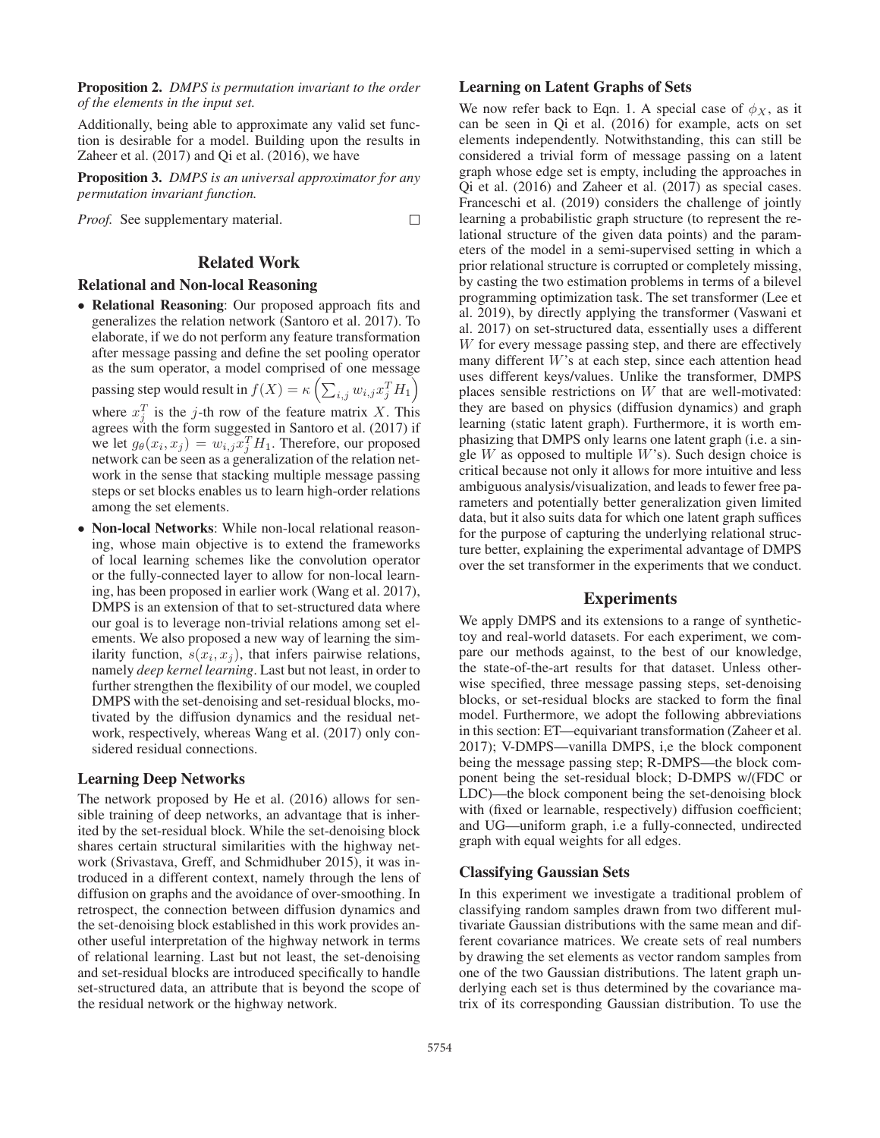Proposition 2. *DMPS is permutation invariant to the order of the elements in the input set.*

Additionally, being able to approximate any valid set function is desirable for a model. Building upon the results in Zaheer et al. (2017) and Qi et al. (2016), we have

Proposition 3. *DMPS is an universal approximator for any permutation invariant function.*

*Proof.* See supplementary material.  $\Box$ 

## Related Work

### Relational and Non-local Reasoning

- Relational Reasoning: Our proposed approach fits and generalizes the relation network (Santoro et al. 2017). To elaborate, if we do not perform any feature transformation after message passing and define the set pooling operator as the sum operator, a model comprised of one message passing step would result in  $f(X) = \kappa \left( \sum_{i,j} w_{i,j} x_j^T H_1 \right)$ where  $x_i^T$  is the j-th row of the feature matrix X. This agrees with the form suggested in Santoro et al. (2017) if we let  $g_{\theta}(x_i, x_j) = w_{i,j} x_j^T H_1$ . Therefore, our proposed network can be seen as a generalization of the relation network in the sense that stacking multiple message passing steps or set blocks enables us to learn high-order relations among the set elements.
- Non-local Networks: While non-local relational reasoning, whose main objective is to extend the frameworks of local learning schemes like the convolution operator or the fully-connected layer to allow for non-local learning, has been proposed in earlier work (Wang et al. 2017), DMPS is an extension of that to set-structured data where our goal is to leverage non-trivial relations among set elements. We also proposed a new way of learning the similarity function,  $s(x_i, x_j)$ , that infers pairwise relations, namely *deep kernel learning*. Last but not least, in order to further strengthen the flexibility of our model, we coupled DMPS with the set-denoising and set-residual blocks, motivated by the diffusion dynamics and the residual network, respectively, whereas Wang et al. (2017) only considered residual connections.

### Learning Deep Networks

The network proposed by He et al. (2016) allows for sensible training of deep networks, an advantage that is inherited by the set-residual block. While the set-denoising block shares certain structural similarities with the highway network (Srivastava, Greff, and Schmidhuber 2015), it was introduced in a different context, namely through the lens of diffusion on graphs and the avoidance of over-smoothing. In retrospect, the connection between diffusion dynamics and the set-denoising block established in this work provides another useful interpretation of the highway network in terms of relational learning. Last but not least, the set-denoising and set-residual blocks are introduced specifically to handle set-structured data, an attribute that is beyond the scope of the residual network or the highway network.

## Learning on Latent Graphs of Sets

We now refer back to Eqn. 1. A special case of  $\phi_X$ , as it can be seen in Qi et al. (2016) for example, acts on set elements independently. Notwithstanding, this can still be considered a trivial form of message passing on a latent graph whose edge set is empty, including the approaches in Qi et al. (2016) and Zaheer et al. (2017) as special cases. Franceschi et al. (2019) considers the challenge of jointly learning a probabilistic graph structure (to represent the relational structure of the given data points) and the parameters of the model in a semi-supervised setting in which a prior relational structure is corrupted or completely missing, by casting the two estimation problems in terms of a bilevel programming optimization task. The set transformer (Lee et al. 2019), by directly applying the transformer (Vaswani et al. 2017) on set-structured data, essentially uses a different W for every message passing step, and there are effectively many different W's at each step, since each attention head uses different keys/values. Unlike the transformer, DMPS places sensible restrictions on W that are well-motivated: they are based on physics (diffusion dynamics) and graph learning (static latent graph). Furthermore, it is worth emphasizing that DMPS only learns one latent graph (i.e. a single  $W$  as opposed to multiple  $W$ 's). Such design choice is critical because not only it allows for more intuitive and less ambiguous analysis/visualization, and leads to fewer free parameters and potentially better generalization given limited data, but it also suits data for which one latent graph suffices for the purpose of capturing the underlying relational structure better, explaining the experimental advantage of DMPS over the set transformer in the experiments that we conduct.

## Experiments

We apply DMPS and its extensions to a range of synthetictoy and real-world datasets. For each experiment, we compare our methods against, to the best of our knowledge, the state-of-the-art results for that dataset. Unless otherwise specified, three message passing steps, set-denoising blocks, or set-residual blocks are stacked to form the final model. Furthermore, we adopt the following abbreviations in this section: ET—equivariant transformation (Zaheer et al. 2017); V-DMPS—vanilla DMPS, i,e the block component being the message passing step; R-DMPS—the block component being the set-residual block; D-DMPS w/(FDC or LDC)—the block component being the set-denoising block with (fixed or learnable, respectively) diffusion coefficient; and UG—uniform graph, i.e a fully-connected, undirected graph with equal weights for all edges.

### Classifying Gaussian Sets

In this experiment we investigate a traditional problem of classifying random samples drawn from two different multivariate Gaussian distributions with the same mean and different covariance matrices. We create sets of real numbers by drawing the set elements as vector random samples from one of the two Gaussian distributions. The latent graph underlying each set is thus determined by the covariance matrix of its corresponding Gaussian distribution. To use the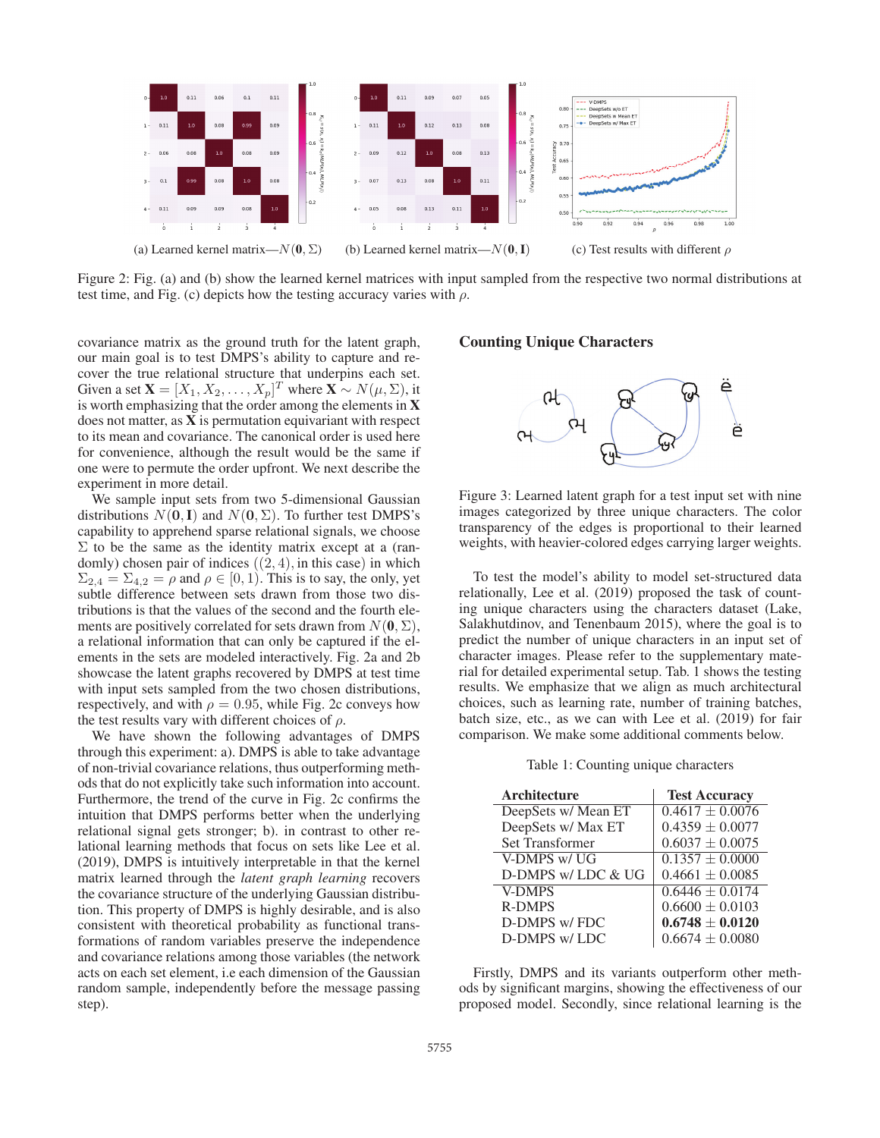

Figure 2: Fig. (a) and (b) show the learned kernel matrices with input sampled from the respective two normal distributions at test time, and Fig. (c) depicts how the testing accuracy varies with  $\rho$ .

covariance matrix as the ground truth for the latent graph, our main goal is to test DMPS's ability to capture and recover the true relational structure that underpins each set. Given a set  $\mathbf{X} = [X_1, X_2, \dots, X_p]^T$  where  $\mathbf{X} \sim N(\mu, \Sigma)$ , it is worth emphasizing that the order among the elements in X does not matter, as  $X$  is permutation equivariant with respect to its mean and covariance. The canonical order is used here for convenience, although the result would be the same if one were to permute the order upfront. We next describe the experiment in more detail.

We sample input sets from two 5-dimensional Gaussian distributions  $N(\mathbf{0},I)$  and  $N(\mathbf{0},\Sigma)$ . To further test DMPS's capability to apprehend sparse relational signals, we choose  $\Sigma$  to be the same as the identity matrix except at a (randomly) chosen pair of indices  $((2, 4)$ , in this case) in which  $\Sigma_{2,4} = \Sigma_{4,2} = \rho$  and  $\rho \in [0,1)$ . This is to say, the only, yet subtle difference between sets drawn from those two distributions is that the values of the second and the fourth elements are positively correlated for sets drawn from  $N(\mathbf{0}, \Sigma)$ , a relational information that can only be captured if the elements in the sets are modeled interactively. Fig. 2a and 2b showcase the latent graphs recovered by DMPS at test time with input sets sampled from the two chosen distributions, respectively, and with  $\rho = 0.95$ , while Fig. 2c conveys how the test results vary with different choices of  $\rho$ .

We have shown the following advantages of DMPS through this experiment: a). DMPS is able to take advantage of non-trivial covariance relations, thus outperforming methods that do not explicitly take such information into account. Furthermore, the trend of the curve in Fig. 2c confirms the intuition that DMPS performs better when the underlying relational signal gets stronger; b). in contrast to other relational learning methods that focus on sets like Lee et al. (2019), DMPS is intuitively interpretable in that the kernel matrix learned through the *latent graph learning* recovers the covariance structure of the underlying Gaussian distribution. This property of DMPS is highly desirable, and is also consistent with theoretical probability as functional transformations of random variables preserve the independence and covariance relations among those variables (the network acts on each set element, i.e each dimension of the Gaussian random sample, independently before the message passing step).

## Counting Unique Characters



Figure 3: Learned latent graph for a test input set with nine images categorized by three unique characters. The color transparency of the edges is proportional to their learned weights, with heavier-colored edges carrying larger weights.

To test the model's ability to model set-structured data relationally, Lee et al. (2019) proposed the task of counting unique characters using the characters dataset (Lake, Salakhutdinov, and Tenenbaum 2015), where the goal is to predict the number of unique characters in an input set of character images. Please refer to the supplementary material for detailed experimental setup. Tab. 1 shows the testing results. We emphasize that we align as much architectural choices, such as learning rate, number of training batches, batch size, etc., as we can with Lee et al. (2019) for fair comparison. We make some additional comments below.

Table 1: Counting unique characters

| Architecture           | <b>Test Accuracy</b> |
|------------------------|----------------------|
| DeepSets w/ Mean ET    | $0.4617 \pm 0.0076$  |
| DeepSets w/ Max ET     | $0.4359 \pm 0.0077$  |
| <b>Set Transformer</b> | $0.6037 \pm 0.0075$  |
| V-DMPS w/ UG           | $0.1357 \pm 0.0000$  |
| D-DMPS w/LDC & UG      | $0.4661 \pm 0.0085$  |
| <b>V-DMPS</b>          | $0.6446 \pm 0.0174$  |
| <b>R-DMPS</b>          | $0.6600 \pm 0.0103$  |
| D-DMPS w/FDC           | $0.6748 \pm 0.0120$  |
| D-DMPS w/LDC           | $0.6674 \pm 0.0080$  |

Firstly, DMPS and its variants outperform other methods by significant margins, showing the effectiveness of our proposed model. Secondly, since relational learning is the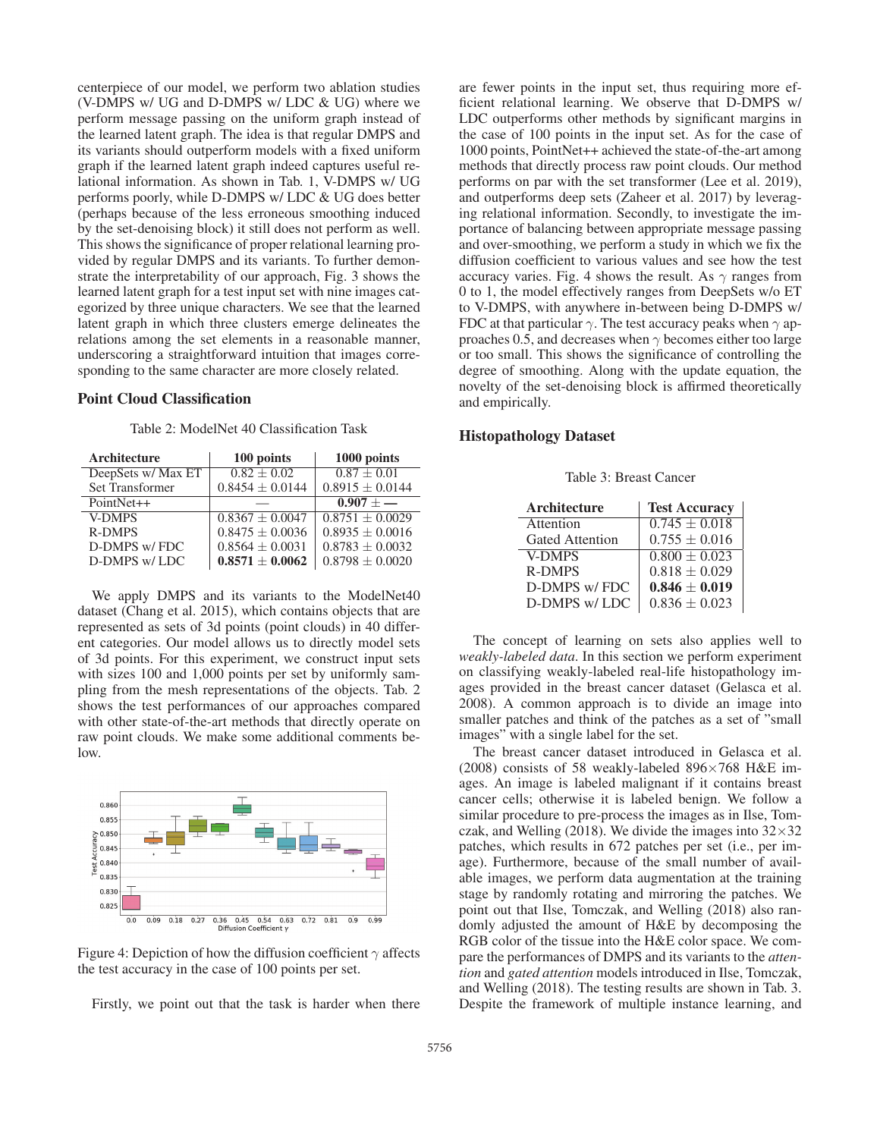centerpiece of our model, we perform two ablation studies (V-DMPS w/ UG and D-DMPS w/ LDC & UG) where we perform message passing on the uniform graph instead of the learned latent graph. The idea is that regular DMPS and its variants should outperform models with a fixed uniform graph if the learned latent graph indeed captures useful relational information. As shown in Tab. 1, V-DMPS w/ UG performs poorly, while D-DMPS w/ LDC & UG does better (perhaps because of the less erroneous smoothing induced by the set-denoising block) it still does not perform as well. This shows the significance of proper relational learning provided by regular DMPS and its variants. To further demonstrate the interpretability of our approach, Fig. 3 shows the learned latent graph for a test input set with nine images categorized by three unique characters. We see that the learned latent graph in which three clusters emerge delineates the relations among the set elements in a reasonable manner, underscoring a straightforward intuition that images corresponding to the same character are more closely related.

## Point Cloud Classification

Table 2: ModelNet 40 Classification Task

| Architecture           | 100 points          | 1000 points         |
|------------------------|---------------------|---------------------|
| DeepSets w/ Max ET     | $0.82 \pm 0.02$     | $0.87 \pm 0.01$     |
| <b>Set Transformer</b> | $0.8454 \pm 0.0144$ | $0.8915 \pm 0.0144$ |
| PointNet++             |                     | $0.907 + -$         |
| <b>V-DMPS</b>          | $0.8367 \pm 0.0047$ | $0.8751 + 0.0029$   |
| <b>R-DMPS</b>          | $0.8475 \pm 0.0036$ | $0.8935 \pm 0.0016$ |
| D-DMPS w/FDC           | $0.8564 \pm 0.0031$ | $0.8783 \pm 0.0032$ |
| D-DMPS w/LDC           | $0.8571 \pm 0.0062$ | $0.8798 \pm 0.0020$ |

We apply DMPS and its variants to the ModelNet40 dataset (Chang et al. 2015), which contains objects that are represented as sets of 3d points (point clouds) in 40 different categories. Our model allows us to directly model sets of 3d points. For this experiment, we construct input sets with sizes 100 and 1,000 points per set by uniformly sampling from the mesh representations of the objects. Tab. 2 shows the test performances of our approaches compared with other state-of-the-art methods that directly operate on raw point clouds. We make some additional comments below.



Figure 4: Depiction of how the diffusion coefficient  $\gamma$  affects the test accuracy in the case of 100 points per set.

Firstly, we point out that the task is harder when there

are fewer points in the input set, thus requiring more efficient relational learning. We observe that D-DMPS w/ LDC outperforms other methods by significant margins in the case of 100 points in the input set. As for the case of 1000 points, PointNet++ achieved the state-of-the-art among methods that directly process raw point clouds. Our method performs on par with the set transformer (Lee et al. 2019), and outperforms deep sets (Zaheer et al. 2017) by leveraging relational information. Secondly, to investigate the importance of balancing between appropriate message passing and over-smoothing, we perform a study in which we fix the diffusion coefficient to various values and see how the test accuracy varies. Fig. 4 shows the result. As  $\gamma$  ranges from 0 to 1, the model effectively ranges from DeepSets w/o ET to V-DMPS, with anywhere in-between being D-DMPS w/ FDC at that particular  $\gamma$ . The test accuracy peaks when  $\gamma$  approaches 0.5, and decreases when  $\gamma$  becomes either too large or too small. This shows the significance of controlling the degree of smoothing. Along with the update equation, the novelty of the set-denoising block is affirmed theoretically and empirically.

## Histopathology Dataset

Table 3: Breast Cancer

| Architecture           | <b>Test Accuracy</b> |
|------------------------|----------------------|
| Attention              | $0.745 \pm 0.018$    |
| <b>Gated Attention</b> | $0.755 \pm 0.016$    |
| <b>V-DMPS</b>          | $0.800 \pm 0.023$    |
| <b>R-DMPS</b>          | $0.818 \pm 0.029$    |
| D-DMPS w/FDC           | $0.846 \pm 0.019$    |
| D-DMPS w/LDC           | $0.836 \pm 0.023$    |

The concept of learning on sets also applies well to *weakly-labeled data*. In this section we perform experiment on classifying weakly-labeled real-life histopathology images provided in the breast cancer dataset (Gelasca et al. 2008). A common approach is to divide an image into smaller patches and think of the patches as a set of "small images" with a single label for the set.

The breast cancer dataset introduced in Gelasca et al. (2008) consists of 58 weakly-labeled 896×768 H&E images. An image is labeled malignant if it contains breast cancer cells; otherwise it is labeled benign. We follow a similar procedure to pre-process the images as in Ilse, Tomczak, and Welling (2018). We divide the images into  $32 \times 32$ patches, which results in 672 patches per set (i.e., per image). Furthermore, because of the small number of available images, we perform data augmentation at the training stage by randomly rotating and mirroring the patches. We point out that Ilse, Tomczak, and Welling (2018) also randomly adjusted the amount of H&E by decomposing the RGB color of the tissue into the H&E color space. We compare the performances of DMPS and its variants to the *attention* and *gated attention* models introduced in Ilse, Tomczak, and Welling (2018). The testing results are shown in Tab. 3. Despite the framework of multiple instance learning, and